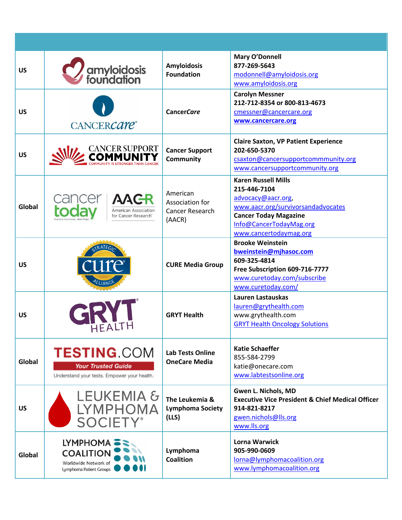| <b>US</b> | amyloidosis<br>foundation                                                                      | <b>Amyloidosis</b><br><b>Foundation</b>                         | Mary O'Donnell<br>877-269-5643<br>modonnell@amyloidosis.org<br>www.amyloidosis.org                                                                                                          |
|-----------|------------------------------------------------------------------------------------------------|-----------------------------------------------------------------|---------------------------------------------------------------------------------------------------------------------------------------------------------------------------------------------|
| <b>US</b> | CANCERCare <sup>®</sup>                                                                        | <b>CancerCare</b>                                               | <b>Carolyn Messner</b><br>212-712-8354 or 800-813-4673<br>cmessner@cancercare.org<br>www.cancercare.org                                                                                     |
| <b>US</b> | <b>CANCER SUPPORT</b>                                                                          | <b>Cancer Support</b><br>Community                              | <b>Claire Saxton, VP Patient Experience</b><br>202-650-5370<br>csaxton@cancersupportcommmunity.org<br>www.cancersupportcommunity.org                                                        |
| Global    | <b>AACR</b><br><b>American Association</b><br>for Cancer Research <sup>®</sup>                 | American<br>Association for<br><b>Cancer Research</b><br>(AACR) | <b>Karen Russell Mills</b><br>215-446-7104<br>advocacy@aacr.org,<br>www.aacr.org/survivorsandadvocates<br><b>Cancer Today Magazine</b><br>Info@CancerTodayMag.org<br>www.cancertodaymag.org |
| <b>US</b> |                                                                                                | <b>CURE Media Group</b>                                         | <b>Brooke Weinstein</b><br>bweinstein@mjhasoc.com<br>609-325-4814<br>Free Subscription 609-716-7777<br>www.curetoday.com/subscribe<br>www.curetoday.com/                                    |
| <b>US</b> |                                                                                                | <b>GRYT Health</b>                                              | Lauren Lastauskas<br>lauren@grythealth.com<br>www.grythealth.com<br><b>GRYT Health Oncology Solutions</b>                                                                                   |
| Global    | <b>TESTING.COM</b><br><b>Your Trusted Guide</b><br>Understand your tests. Empower your health. | <b>Lab Tests Online</b><br><b>OneCare Media</b>                 | <b>Katie Schaeffer</b><br>855-584-2799<br>katie@onecare.com<br>www.labtestsonline.org                                                                                                       |
| <b>US</b> | <b>LEUKEMIA &amp;</b><br>LYMPHOMA<br><b>SOCIETY®</b>                                           | The Leukemia &<br><b>Lymphoma Society</b><br>(LLS)              | Gwen L. Nichols, MD<br><b>Executive Vice President &amp; Chief Medical Officer</b><br>914-821-8217<br>gwen.nichols@lls.org<br>www.lls.org                                                   |
| Global    | LYMPHOMA =<br><b>COALITION</b><br>Worldwide Network of<br>Lymphoma Patient Groups              | Lymphoma<br><b>Coalition</b>                                    | <b>Lorna Warwick</b><br>905-990-0609<br>lorna@lymphomacoalition.org<br>www.lymphomacoalition.org                                                                                            |